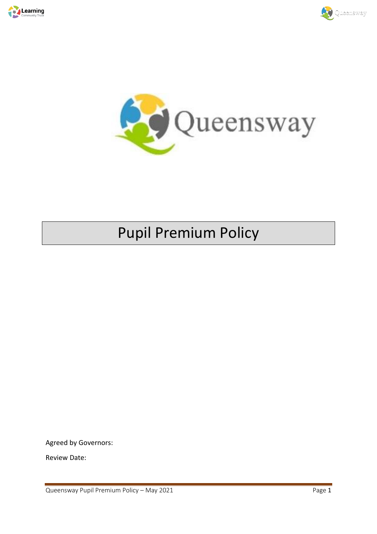





# Pupil Premium Policy

Agreed by Governors:

Review Date: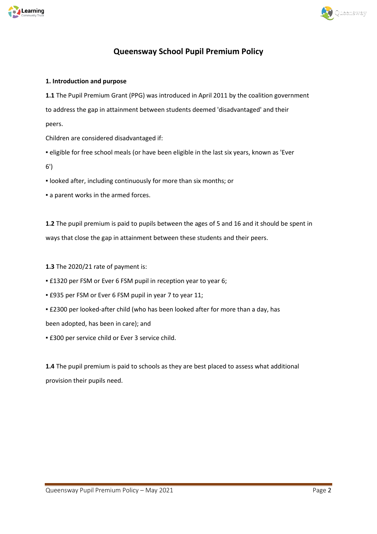



# **Queensway School Pupil Premium Policy**

### **1. Introduction and purpose**

**1.1** The Pupil Premium Grant (PPG) was introduced in April 2011 by the coalition government to address the gap in attainment between students deemed 'disadvantaged' and their peers.

Children are considered disadvantaged if:

▪ eligible for free school meals (or have been eligible in the last six years, known as 'Ever

6')

▪ looked after, including continuously for more than six months; or

**Exercise 1 a parent works in the armed forces.** 

**1.2** The pupil premium is paid to pupils between the ages of 5 and 16 and it should be spent in ways that close the gap in attainment between these students and their peers.

**1.3** The 2020/21 rate of payment is:

**E1320 per FSM or Ever 6 FSM pupil in reception year to year 6;** 

▪ £935 per FSM or Ever 6 FSM pupil in year 7 to year 11;

▪ £2300 per looked-after child (who has been looked after for more than a day, has

been adopted, has been in care); and

**E300 per service child or Ever 3 service child.** 

**1.4** The pupil premium is paid to schools as they are best placed to assess what additional provision their pupils need.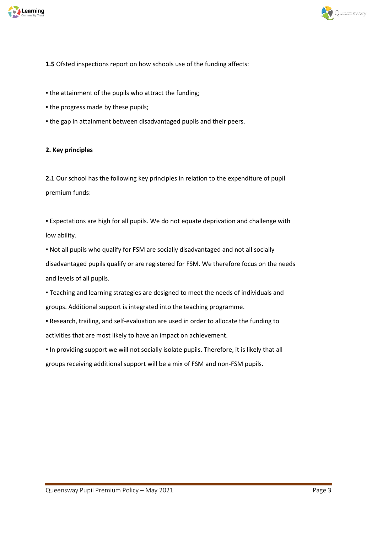



# **1.5** Ofsted inspections report on how schools use of the funding affects:

- the attainment of the pupils who attract the funding;
- . the progress made by these pupils;
- . the gap in attainment between disadvantaged pupils and their peers.

# **2. Key principles**

**2.1** Our school has the following key principles in relation to the expenditure of pupil premium funds:

▪ Expectations are high for all pupils. We do not equate deprivation and challenge with low ability.

▪ Not all pupils who qualify for FSM are socially disadvantaged and not all socially disadvantaged pupils qualify or are registered for FSM. We therefore focus on the needs and levels of all pupils.

▪ Teaching and learning strategies are designed to meet the needs of individuals and groups. Additional support is integrated into the teaching programme.

▪ Research, trailing, and self-evaluation are used in order to allocate the funding to activities that are most likely to have an impact on achievement.

▪ In providing support we will not socially isolate pupils. Therefore, it is likely that all groups receiving additional support will be a mix of FSM and non-FSM pupils.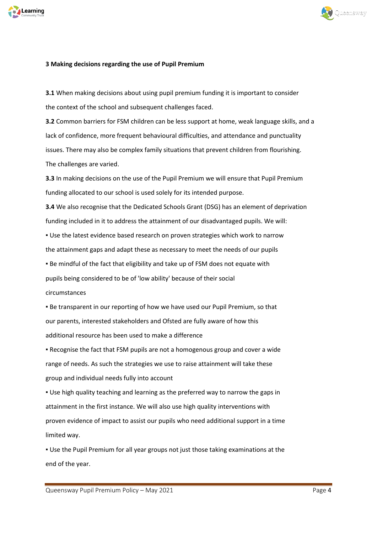



#### **3 Making decisions regarding the use of Pupil Premium**

**3.1** When making decisions about using pupil premium funding it is important to consider the context of the school and subsequent challenges faced.

**3.2** Common barriers for FSM children can be less support at home, weak language skills, and a lack of confidence, more frequent behavioural difficulties, and attendance and punctuality issues. There may also be complex family situations that prevent children from flourishing. The challenges are varied.

**3.3** In making decisions on the use of the Pupil Premium we will ensure that Pupil Premium funding allocated to our school is used solely for its intended purpose.

**3.4** We also recognise that the Dedicated Schools Grant (DSG) has an element of deprivation funding included in it to address the attainment of our disadvantaged pupils. We will:

▪ Use the latest evidence based research on proven strategies which work to narrow the attainment gaps and adapt these as necessary to meet the needs of our pupils

**.** Be mindful of the fact that eligibility and take up of FSM does not equate with pupils being considered to be of 'low ability' because of their social circumstances

▪ Be transparent in our reporting of how we have used our Pupil Premium, so that our parents, interested stakeholders and Ofsted are fully aware of how this additional resource has been used to make a difference

▪ Recognise the fact that FSM pupils are not a homogenous group and cover a wide range of needs. As such the strategies we use to raise attainment will take these group and individual needs fully into account

▪ Use high quality teaching and learning as the preferred way to narrow the gaps in attainment in the first instance. We will also use high quality interventions with proven evidence of impact to assist our pupils who need additional support in a time limited way.

▪ Use the Pupil Premium for all year groups not just those taking examinations at the end of the year.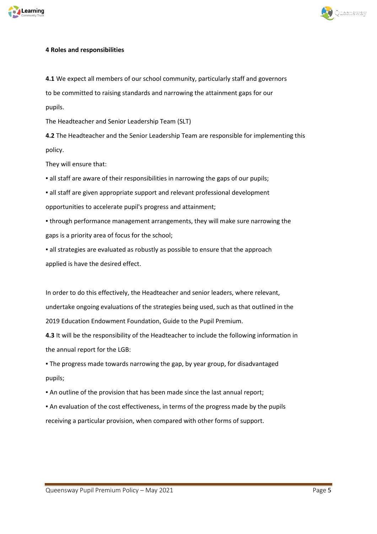



### **4 Roles and responsibilities**

**4.1** We expect all members of our school community, particularly staff and governors to be committed to raising standards and narrowing the attainment gaps for our pupils.

The Headteacher and Senior Leadership Team (SLT)

**4.2** The Headteacher and the Senior Leadership Team are responsible for implementing this policy.

They will ensure that:

▪ all staff are aware of their responsibilities in narrowing the gaps of our pupils;

▪ all staff are given appropriate support and relevant professional development opportunities to accelerate pupil's progress and attainment;

▪ through performance management arrangements, they will make sure narrowing the gaps is a priority area of focus for the school;

▪ all strategies are evaluated as robustly as possible to ensure that the approach applied is have the desired effect.

In order to do this effectively, the Headteacher and senior leaders, where relevant, undertake ongoing evaluations of the strategies being used, such as that outlined in the 2019 Education Endowment Foundation, Guide to the Pupil Premium.

**4.3** It will be the responsibility of the Headteacher to include the following information in the annual report for the LGB:

. The progress made towards narrowing the gap, by year group, for disadvantaged pupils;

▪ An outline of the provision that has been made since the last annual report;

▪ An evaluation of the cost effectiveness, in terms of the progress made by the pupils receiving a particular provision, when compared with other forms of support.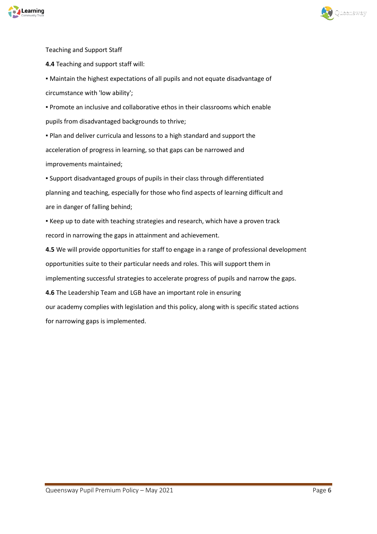



Teaching and Support Staff

**4.4** Teaching and support staff will:

▪ Maintain the highest expectations of all pupils and not equate disadvantage of circumstance with 'low ability';

▪ Promote an inclusive and collaborative ethos in their classrooms which enable pupils from disadvantaged backgrounds to thrive;

▪ Plan and deliver curricula and lessons to a high standard and support the acceleration of progress in learning, so that gaps can be narrowed and improvements maintained;

▪ Support disadvantaged groups of pupils in their class through differentiated planning and teaching, especially for those who find aspects of learning difficult and are in danger of falling behind;

▪ Keep up to date with teaching strategies and research, which have a proven track record in narrowing the gaps in attainment and achievement.

**4.5** We will provide opportunities for staff to engage in a range of professional development opportunities suite to their particular needs and roles. This will support them in implementing successful strategies to accelerate progress of pupils and narrow the gaps.

**4.6** The Leadership Team and LGB have an important role in ensuring

our academy complies with legislation and this policy, along with is specific stated actions for narrowing gaps is implemented.